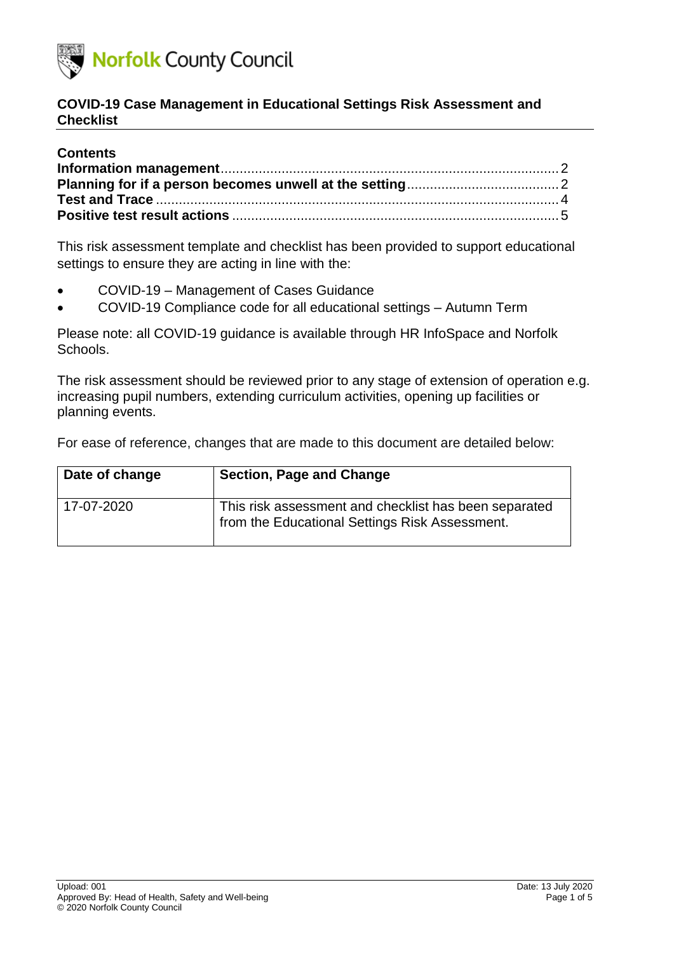

| <b>Contents</b> |  |
|-----------------|--|
|                 |  |
|                 |  |
|                 |  |
|                 |  |

This risk assessment template and checklist has been provided to support educational settings to ensure they are acting in line with the:

- COVID-19 Management of Cases Guidance
- COVID-19 Compliance code for all educational settings Autumn Term

Please note: all COVID-19 guidance is available through HR InfoSpace and Norfolk Schools.

The risk assessment should be reviewed prior to any stage of extension of operation e.g. increasing pupil numbers, extending curriculum activities, opening up facilities or planning events.

For ease of reference, changes that are made to this document are detailed below:

| Date of change | <b>Section, Page and Change</b>                                                                         |
|----------------|---------------------------------------------------------------------------------------------------------|
| 17-07-2020     | This risk assessment and checklist has been separated<br>from the Educational Settings Risk Assessment. |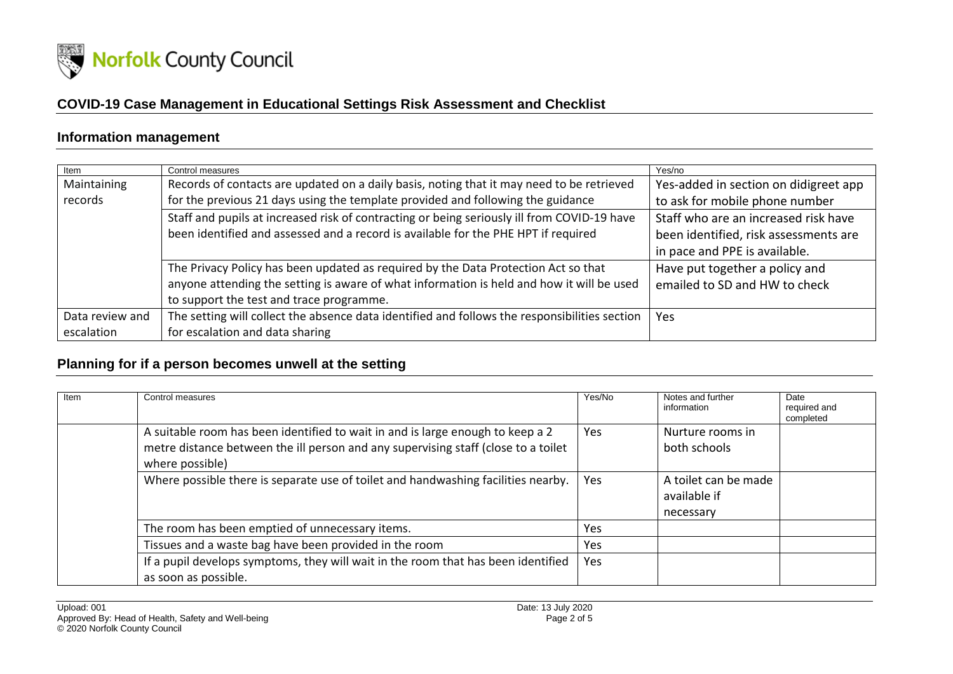

# **Information management**

| Item            | Control measures                                                                              | Yes/no                                |
|-----------------|-----------------------------------------------------------------------------------------------|---------------------------------------|
| Maintaining     | Records of contacts are updated on a daily basis, noting that it may need to be retrieved     | Yes-added in section on didigreet app |
| records         | for the previous 21 days using the template provided and following the guidance               | to ask for mobile phone number        |
|                 | Staff and pupils at increased risk of contracting or being seriously ill from COVID-19 have   | Staff who are an increased risk have  |
|                 | been identified and assessed and a record is available for the PHE HPT if required            | been identified, risk assessments are |
|                 |                                                                                               | in pace and PPE is available.         |
|                 | The Privacy Policy has been updated as required by the Data Protection Act so that            | Have put together a policy and        |
|                 | anyone attending the setting is aware of what information is held and how it will be used     | emailed to SD and HW to check         |
|                 | to support the test and trace programme.                                                      |                                       |
| Data review and | The setting will collect the absence data identified and follows the responsibilities section | Yes                                   |
| escalation      | for escalation and data sharing                                                               |                                       |

### **Planning for if a person becomes unwell at the setting**

<span id="page-1-1"></span><span id="page-1-0"></span>

| Item | Control measures                                                                                                                                                                        | Yes/No | Notes and further<br>information                  | Date<br>required and<br>completed |
|------|-----------------------------------------------------------------------------------------------------------------------------------------------------------------------------------------|--------|---------------------------------------------------|-----------------------------------|
|      | A suitable room has been identified to wait in and is large enough to keep a 2<br>metre distance between the ill person and any supervising staff (close to a toilet<br>where possible) | Yes    | Nurture rooms in<br>both schools                  |                                   |
|      | Where possible there is separate use of toilet and handwashing facilities nearby.                                                                                                       | Yes    | A toilet can be made<br>available if<br>necessary |                                   |
|      | The room has been emptied of unnecessary items.                                                                                                                                         | Yes    |                                                   |                                   |
|      | Tissues and a waste bag have been provided in the room                                                                                                                                  | Yes    |                                                   |                                   |
|      | If a pupil develops symptoms, they will wait in the room that has been identified<br>as soon as possible.                                                                               | Yes    |                                                   |                                   |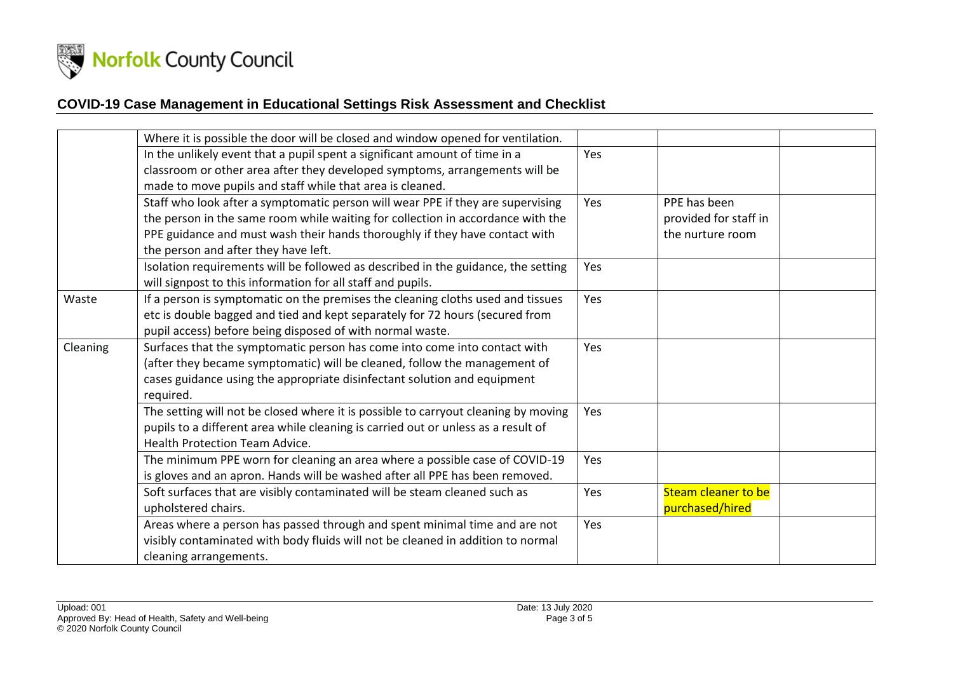

|          | Where it is possible the door will be closed and window opened for ventilation.    |     |                       |  |
|----------|------------------------------------------------------------------------------------|-----|-----------------------|--|
|          | In the unlikely event that a pupil spent a significant amount of time in a         | Yes |                       |  |
|          | classroom or other area after they developed symptoms, arrangements will be        |     |                       |  |
|          | made to move pupils and staff while that area is cleaned.                          |     |                       |  |
|          | Staff who look after a symptomatic person will wear PPE if they are supervising    | Yes | PPE has been          |  |
|          | the person in the same room while waiting for collection in accordance with the    |     | provided for staff in |  |
|          | PPE guidance and must wash their hands thoroughly if they have contact with        |     | the nurture room      |  |
|          | the person and after they have left.                                               |     |                       |  |
|          | Isolation requirements will be followed as described in the guidance, the setting  | Yes |                       |  |
|          | will signpost to this information for all staff and pupils.                        |     |                       |  |
| Waste    | If a person is symptomatic on the premises the cleaning cloths used and tissues    | Yes |                       |  |
|          | etc is double bagged and tied and kept separately for 72 hours (secured from       |     |                       |  |
|          | pupil access) before being disposed of with normal waste.                          |     |                       |  |
| Cleaning | Surfaces that the symptomatic person has come into come into contact with          | Yes |                       |  |
|          | (after they became symptomatic) will be cleaned, follow the management of          |     |                       |  |
|          | cases guidance using the appropriate disinfectant solution and equipment           |     |                       |  |
|          | required.                                                                          |     |                       |  |
|          | The setting will not be closed where it is possible to carryout cleaning by moving | Yes |                       |  |
|          | pupils to a different area while cleaning is carried out or unless as a result of  |     |                       |  |
|          | <b>Health Protection Team Advice.</b>                                              |     |                       |  |
|          | The minimum PPE worn for cleaning an area where a possible case of COVID-19        | Yes |                       |  |
|          | is gloves and an apron. Hands will be washed after all PPE has been removed.       |     |                       |  |
|          | Soft surfaces that are visibly contaminated will be steam cleaned such as          | Yes | Steam cleaner to be   |  |
|          | upholstered chairs.                                                                |     | purchased/hired       |  |
|          | Areas where a person has passed through and spent minimal time and are not         | Yes |                       |  |
|          | visibly contaminated with body fluids will not be cleaned in addition to normal    |     |                       |  |
|          | cleaning arrangements.                                                             |     |                       |  |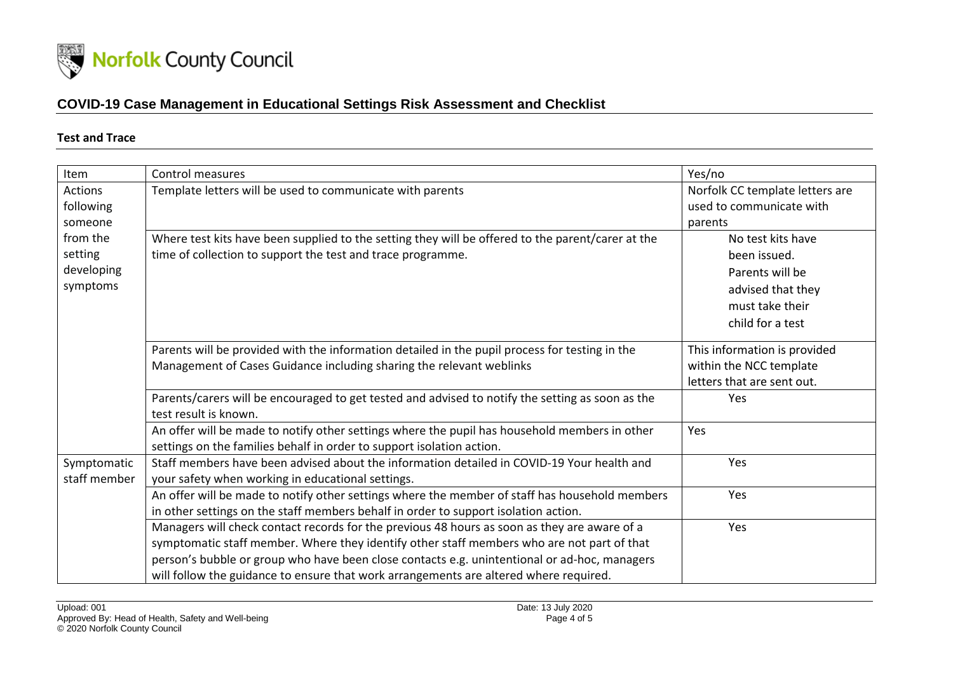

#### **Test and Trace**

<span id="page-3-0"></span>

| Item         | <b>Control measures</b>                                                                           | Yes/no                          |
|--------------|---------------------------------------------------------------------------------------------------|---------------------------------|
| Actions      | Template letters will be used to communicate with parents                                         | Norfolk CC template letters are |
| following    |                                                                                                   | used to communicate with        |
| someone      |                                                                                                   | parents                         |
| from the     | Where test kits have been supplied to the setting they will be offered to the parent/carer at the | No test kits have               |
| setting      | time of collection to support the test and trace programme.                                       | been issued.                    |
| developing   |                                                                                                   | Parents will be                 |
| symptoms     |                                                                                                   | advised that they               |
|              |                                                                                                   | must take their                 |
|              |                                                                                                   | child for a test                |
|              |                                                                                                   |                                 |
|              | Parents will be provided with the information detailed in the pupil process for testing in the    | This information is provided    |
|              | Management of Cases Guidance including sharing the relevant weblinks                              | within the NCC template         |
|              |                                                                                                   | letters that are sent out.      |
|              | Parents/carers will be encouraged to get tested and advised to notify the setting as soon as the  | Yes                             |
|              | test result is known.                                                                             |                                 |
|              | An offer will be made to notify other settings where the pupil has household members in other     | Yes                             |
|              | settings on the families behalf in order to support isolation action.                             |                                 |
| Symptomatic  | Staff members have been advised about the information detailed in COVID-19 Your health and        | Yes                             |
| staff member | your safety when working in educational settings.                                                 |                                 |
|              | An offer will be made to notify other settings where the member of staff has household members    | Yes                             |
|              | in other settings on the staff members behalf in order to support isolation action.               |                                 |
|              | Managers will check contact records for the previous 48 hours as soon as they are aware of a      | Yes                             |
|              | symptomatic staff member. Where they identify other staff members who are not part of that        |                                 |
|              | person's bubble or group who have been close contacts e.g. unintentional or ad-hoc, managers      |                                 |
|              | will follow the guidance to ensure that work arrangements are altered where required.             |                                 |